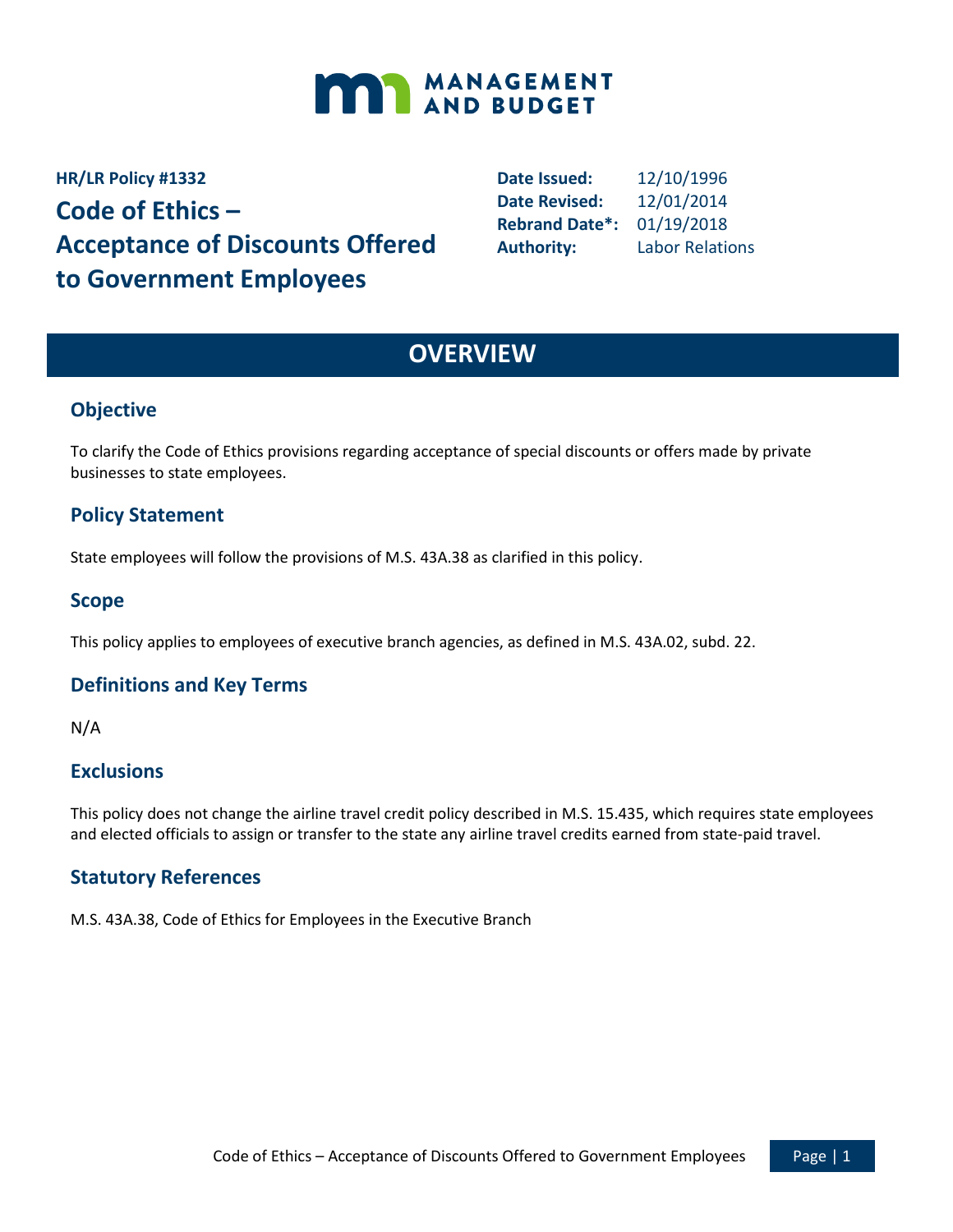

**HR/LR Policy #1332 Code of Ethics – Acceptance of Discounts Offered to Government Employees**

**Date Issued:** 12/10/1996 **Date Revised:** 12/01/2014 **Rebrand Date\*:** 01/19/2018 **Authority:** Labor Relations

## **OVERVIEW**

## **Objective**

To clarify the Code of Ethics provisions regarding acceptance of special discounts or offers made by private businesses to state employees.

## **Policy Statement**

State employees will follow the provisions of M.S. 43A.38 as clarified in this policy.

#### **Scope**

This policy applies to employees of executive branch agencies, as defined in M.S. 43A.02, subd. 22.

#### **Definitions and Key Terms**

N/A

#### **Exclusions**

This policy does not change the airline travel credit policy described in M.S. 15.435, which requires state employees and elected officials to assign or transfer to the state any airline travel credits earned from state-paid travel.

#### **Statutory References**

M.S. 43A.38, Code of Ethics for Employees in the Executive Branch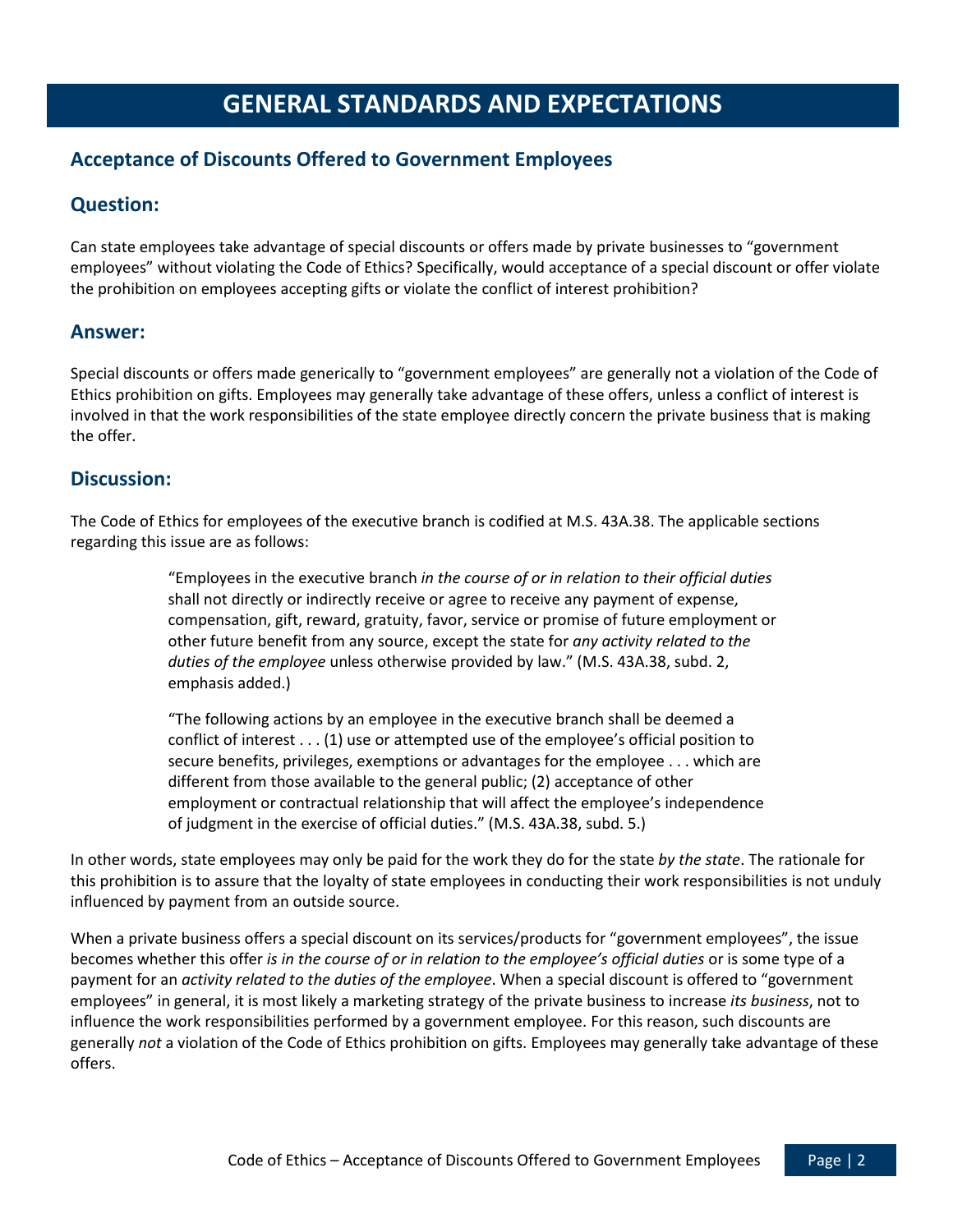# **GENERAL STANDARDS AND EXPECTATIONS**

## **Acceptance of Discounts Offered to Government Employees**

## **Question:**

Can state employees take advantage of special discounts or offers made by private businesses to "government employees" without violating the Code of Ethics? Specifically, would acceptance of a special discount or offer violate the prohibition on employees accepting gifts or violate the conflict of interest prohibition?

#### **Answer:**

Special discounts or offers made generically to "government employees" are generally not a violation of the Code of Ethics prohibition on gifts. Employees may generally take advantage of these offers, unless a conflict of interest is involved in that the work responsibilities of the state employee directly concern the private business that is making the offer.

#### **Discussion:**

The Code of Ethics for employees of the executive branch is codified at M.S. 43A.38. The applicable sections regarding this issue are as follows:

> "Employees in the executive branch *in the course of or in relation to their official duties* shall not directly or indirectly receive or agree to receive any payment of expense, compensation, gift, reward, gratuity, favor, service or promise of future employment or other future benefit from any source, except the state for *any activity related to the duties of the employee* unless otherwise provided by law." (M.S. 43A.38, subd. 2, emphasis added.)

"The following actions by an employee in the executive branch shall be deemed a conflict of interest . . . (1) use or attempted use of the employee's official position to secure benefits, privileges, exemptions or advantages for the employee . . . which are different from those available to the general public; (2) acceptance of other employment or contractual relationship that will affect the employee's independence of judgment in the exercise of official duties." (M.S. 43A.38, subd. 5.)

In other words, state employees may only be paid for the work they do for the state *by the state*. The rationale for this prohibition is to assure that the loyalty of state employees in conducting their work responsibilities is not unduly influenced by payment from an outside source.

When a private business offers a special discount on its services/products for "government employees", the issue becomes whether this offer *is in the course of or in relation to the employee's official duties* or is some type of a payment for an *activity related to the duties of the employee*. When a special discount is offered to "government employees" in general, it is most likely a marketing strategy of the private business to increase *its business*, not to influence the work responsibilities performed by a government employee. For this reason, such discounts are generally *not* a violation of the Code of Ethics prohibition on gifts. Employees may generally take advantage of these offers.